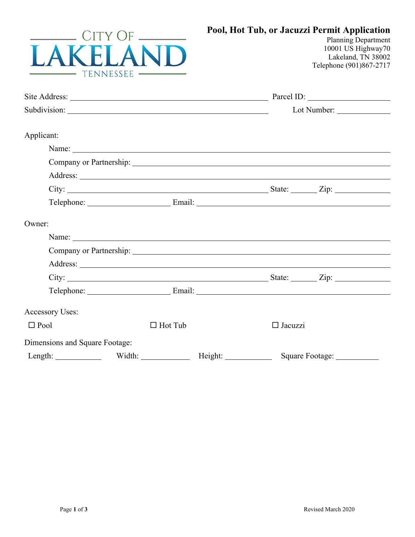| A                              | $CITY$ OF<br>TENNESSEE -                              |         |                | Pool, Hot Tub, or Jacuzzi Permit Application<br><b>Planning Department</b><br>10001 US Highway70<br>Lakeland, TN 38002<br>Telephone (901)867-2717 |  |
|--------------------------------|-------------------------------------------------------|---------|----------------|---------------------------------------------------------------------------------------------------------------------------------------------------|--|
|                                |                                                       |         |                |                                                                                                                                                   |  |
|                                |                                                       |         |                |                                                                                                                                                   |  |
| Applicant:                     |                                                       |         |                |                                                                                                                                                   |  |
|                                |                                                       |         |                |                                                                                                                                                   |  |
|                                | Company or Partnership: North Company or Partnership: |         |                |                                                                                                                                                   |  |
|                                |                                                       |         |                |                                                                                                                                                   |  |
|                                |                                                       |         |                | City: $\frac{1}{2}$ State: $\frac{1}{2}$ Zip:                                                                                                     |  |
|                                |                                                       |         |                | Telephone: Email: Email:                                                                                                                          |  |
| Owner:                         |                                                       |         |                |                                                                                                                                                   |  |
|                                |                                                       |         |                |                                                                                                                                                   |  |
|                                |                                                       |         |                | Company or Partnership: North Company or Partnership:                                                                                             |  |
|                                |                                                       |         |                |                                                                                                                                                   |  |
|                                |                                                       |         |                |                                                                                                                                                   |  |
|                                |                                                       |         |                | Telephone: Email: Email: Email:                                                                                                                   |  |
| Accessory Uses:                |                                                       |         |                |                                                                                                                                                   |  |
| $\Box$ Pool                    | $\Box$ Hot Tub                                        |         | $\Box$ Jacuzzi |                                                                                                                                                   |  |
| Dimensions and Square Footage: |                                                       |         |                |                                                                                                                                                   |  |
| Length: Width:                 |                                                       | Height: |                | Square Footage:                                                                                                                                   |  |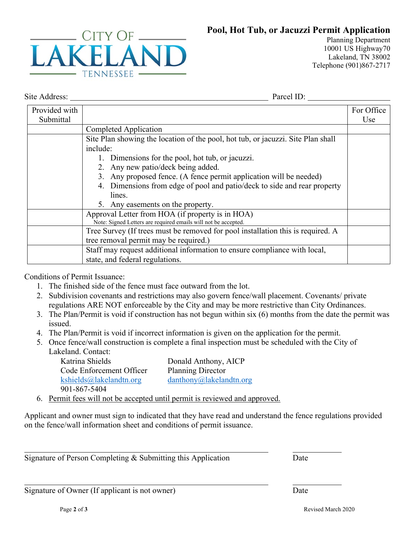## **Pool, Hot Tub, or Jacuzzi Permit Application**



Planning Department 10001 US Highway70 Lakeland, TN 38002 Telephone (901)867-2717

Site Address: Parcel ID:

| Provided with |                                                                                  | For Office |
|---------------|----------------------------------------------------------------------------------|------------|
| Submittal     |                                                                                  | Use        |
|               | Completed Application                                                            |            |
|               | Site Plan showing the location of the pool, hot tub, or jacuzzi. Site Plan shall |            |
|               | include:                                                                         |            |
|               | 1. Dimensions for the pool, hot tub, or jacuzzi.                                 |            |
|               | 2. Any new patio/deck being added.                                               |            |
|               | 3. Any proposed fence. (A fence permit application will be needed)               |            |
|               | 4. Dimensions from edge of pool and patio/deck to side and rear property         |            |
|               | lines.                                                                           |            |
|               | 5. Any easements on the property.                                                |            |
|               | Approval Letter from HOA (if property is in HOA)                                 |            |
|               | Note: Signed Letters are required emails will not be accepted.                   |            |
|               | Tree Survey (If trees must be removed for pool installation this is required. A  |            |
|               | tree removal permit may be required.)                                            |            |
|               | Staff may request additional information to ensure compliance with local,        |            |
|               | state, and federal regulations.                                                  |            |

Conditions of Permit Issuance:

- 1. The finished side of the fence must face outward from the lot.
- 2. Subdivision covenants and restrictions may also govern fence/wall placement. Covenants/ private regulations ARE NOT enforceable by the City and may be more restrictive than City Ordinances.
- 3. The Plan/Permit is void if construction has not begun within six (6) months from the date the permit was issued.
- 4. The Plan/Permit is void if incorrect information is given on the application for the permit.
- 5. Once fence/wall construction is complete a final inspection must be scheduled with the City of Lakeland. Contact:

Katrina Shields Code Enforcement Officer [kshields@lakelandtn.org](mailto:kshields@lakelandtn.org) 901-867-5404 Donald Anthony, AICP Planning Director [danthony@lakelandtn.org](mailto:danthony@lakelandtn.org)

6. Permit fees will not be accepted until permit is reviewed and approved.

Applicant and owner must sign to indicated that they have read and understand the fence regulations provided on the fence/wall information sheet and conditions of permit issuance.

Signature of Person Completing & Submitting this Application Date

Signature of Owner (If applicant is not owner) Date

Page 2 of 3 Revised March 2020